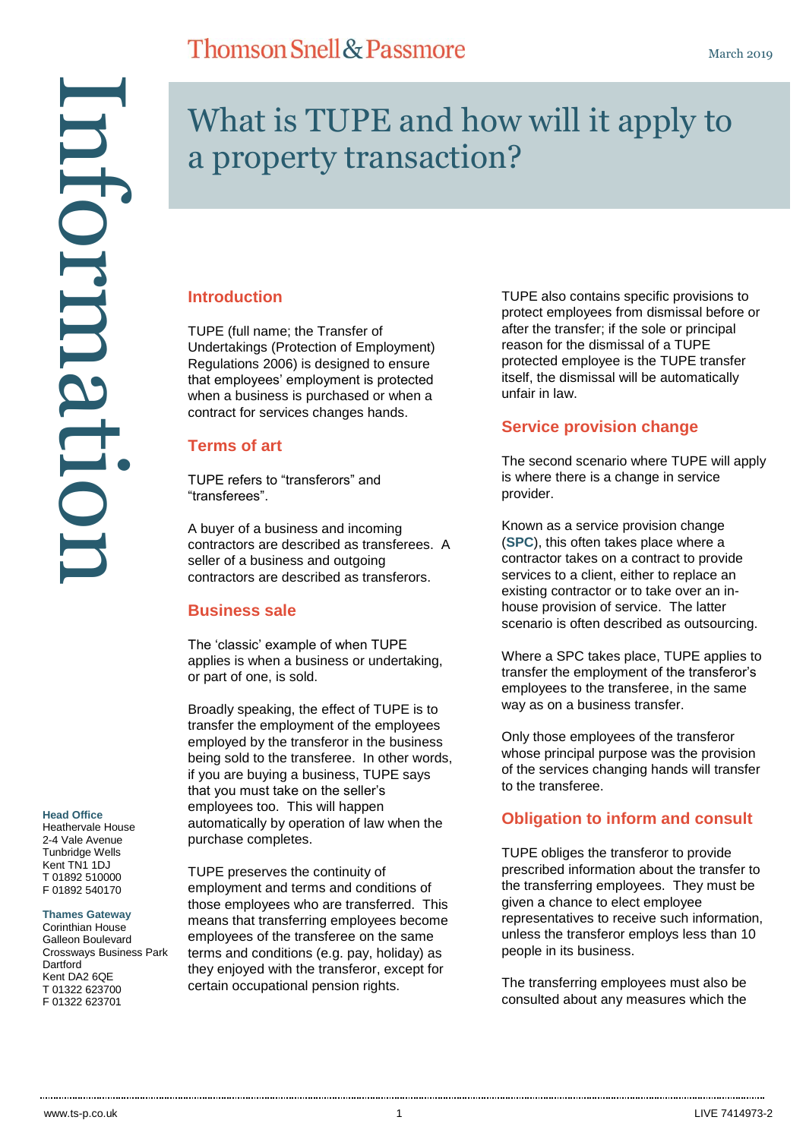Information ntormatu

# What is TUPE and how will it apply to a property transaction?

## **Introduction**

TUPE (full name; the Transfer of Undertakings (Protection of Employment) Regulations 2006) is designed to ensure that employees' employment is protected when a business is purchased or when a contract for services changes hands.

## **Terms of art**

TUPE refers to "transferors" and "transferees".

A buyer of a business and incoming contractors are described as transferees. A seller of a business and outgoing contractors are described as transferors.

## **Business sale**

The 'classic' example of when TUPE applies is when a business or undertaking, or part of one, is sold.

Broadly speaking, the effect of TUPE is to transfer the employment of the employees employed by the transferor in the business being sold to the transferee. In other words, if you are buying a business, TUPE says that you must take on the seller's employees too. This will happen automatically by operation of law when the purchase completes.

TUPE preserves the continuity of employment and terms and conditions of those employees who are transferred. This means that transferring employees become employees of the transferee on the same terms and conditions (e.g. pay, holiday) as they enjoyed with the transferor, except for certain occupational pension rights.

TUPE also contains specific provisions to protect employees from dismissal before or after the transfer; if the sole or principal reason for the dismissal of a TUPE protected employee is the TUPE transfer itself, the dismissal will be automatically unfair in law.

## **Service provision change**

The second scenario where TUPE will apply is where there is a change in service provider.

Known as a service provision change (**SPC**), this often takes place where a contractor takes on a contract to provide services to a client, either to replace an existing contractor or to take over an inhouse provision of service. The latter scenario is often described as outsourcing.

Where a SPC takes place, TUPE applies to transfer the employment of the transferor's employees to the transferee, in the same way as on a business transfer.

Only those employees of the transferor whose principal purpose was the provision of the services changing hands will transfer to the transferee.

## **Obligation to inform and consult**

TUPE obliges the transferor to provide prescribed information about the transfer to the transferring employees. They must be given a chance to elect employee representatives to receive such information, unless the transferor employs less than 10 people in its business.

The transferring employees must also be consulted about any measures which the

#### **Head Office**

Heathervale House 2-4 Vale Avenue Tunbridge Wells Kent TN1 1DJ T 01892 510000 F 01892 540170

#### **Thames Gateway**

Corinthian House Galleon Boulevard Crossways Business Park **Dartford** Kent DA2 6QE T 01322 623700 F 01322 623701